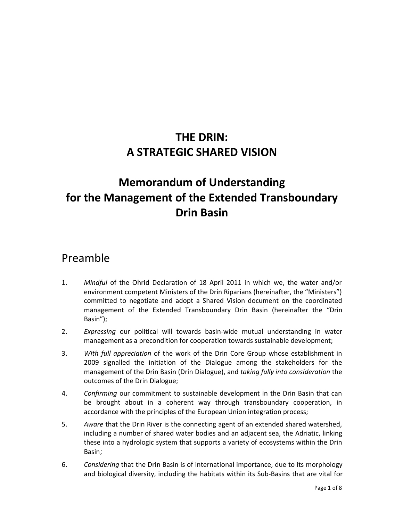# **THE DRIN: A STRATEGIC SHARED VISION**

# **Memorandum of Understanding for the Management of the Extended Transboundary Drin Basin**

## Preamble

- 1. *Mindful* of the Ohrid Declaration of 18 April 2011 in which we, the water and/or environment competent Ministers of the Drin Riparians (hereinafter, the "Ministers") committed to negotiate and adopt a Shared Vision document on the coordinated management of the Extended Transboundary Drin Basin (hereinafter the "Drin Basin");
- 2. *Expressing* our political will towards basin-wide mutual understanding in water management as a precondition for cooperation towards sustainable development;
- 3. *With full appreciation* of the work of the Drin Core Group whose establishment in 2009 signalled the initiation of the Dialogue among the stakeholders for the management of the Drin Basin (Drin Dialogue), and *taking fully into consideration* the outcomes of the Drin Dialogue;
- 4. *Confirming* our commitment to sustainable development in the Drin Basin that can be brought about in a coherent way through transboundary cooperation, in accordance with the principles of the European Union integration process;
- 5. *Aware* that the Drin River is the connecting agent of an extended shared watershed, including a number of shared water bodies and an adjacent sea, the Adriatic, linking these into a hydrologic system that supports a variety of ecosystems within the Drin Basin;
- 6. *Considering* that the Drin Basin is of international importance, due to its morphology and biological diversity, including the habitats within its Sub-Basins that are vital for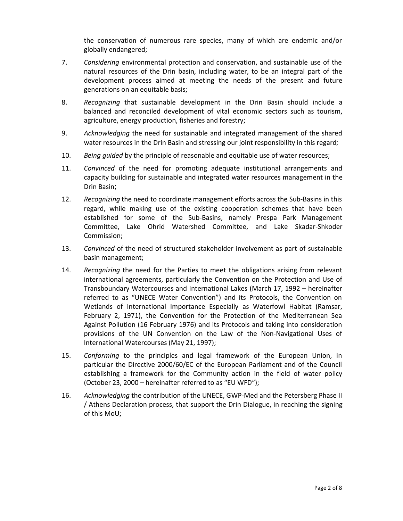the conservation of numerous rare species, many of which are endemic and/or globally endangered;

- 7. *Considering* environmental protection and conservation, and sustainable use of the natural resources of the Drin basin, including water, to be an integral part of the development process aimed at meeting the needs of the present and future generations on an equitable basis;
- 8. *Recognizing* that sustainable development in the Drin Basin should include a balanced and reconciled development of vital economic sectors such as tourism, agriculture, energy production, fisheries and forestry;
- 9. *Acknowledging* the need for sustainable and integrated management of the shared water resources in the Drin Basin and stressing our joint responsibility in this regard;
- 10. *Being guided* by the principle of reasonable and equitable use of water resources;
- 11. *Convinced* of the need for promoting adequate institutional arrangements and capacity building for sustainable and integrated water resources management in the Drin Basin;
- 12. *Recognizing* the need to coordinate management efforts across the Sub-Basins in this regard, while making use of the existing cooperation schemes that have been established for some of the Sub-Basins, namely Prespa Park Management Committee, Lake Ohrid Watershed Committee, and Lake Skadar-Shkoder Commission;
- 13. *Convinced* of the need of structured stakeholder involvement as part of sustainable basin management;
- 14. *Recognizing* the need for the Parties to meet the obligations arising from relevant international agreements, particularly the Convention on the Protection and Use of Transboundary Watercourses and International Lakes (March 17, 1992 – hereinafter referred to as "UNECE Water Convention") and its Protocols, the Convention on Wetlands of International Importance Especially as Waterfowl Habitat (Ramsar, February 2, 1971), the Convention for the Protection of the Mediterranean Sea Against Pollution (16 February 1976) and its Protocols and taking into consideration provisions of the UN Convention on the Law of the Non-Navigational Uses of International Watercourses (May 21, 1997);
- 15. *Conforming* to the principles and legal framework of the European Union, in particular the Directive 2000/60/EC of the European Parliament and of the Council establishing a framework for the Community action in the field of water policy (October 23, 2000 *–* hereinafter referred to as "EU WFD");
- 16. *Acknowledging* the contribution of the UNECE, GWP-Med and the Petersberg Phase II / Athens Declaration process, that support the Drin Dialogue, in reaching the signing of this MoU;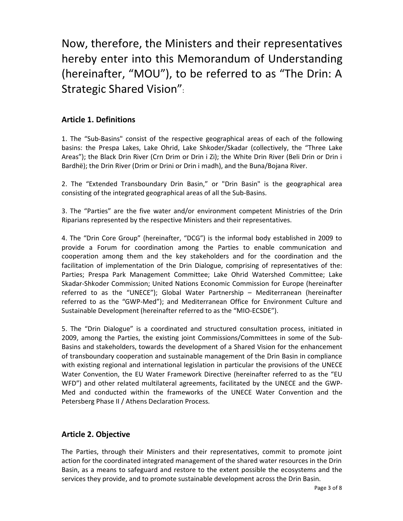Now, therefore, the Ministers and their representatives hereby enter into this Memorandum of Understanding (hereinafter, "MOU"), to be referred to as "The Drin: A Strategic Shared Vision":

### **Article 1. Definitions**

1. The "Sub-Basins" consist of the respective geographical areas of each of the following basins: the Prespa Lakes, Lake Ohrid, Lake Shkoder/Skadar (collectively, the "Three Lake Areas"); the Black Drin River (Crn Drim or Drin i Zi); the White Drin River (Beli Drin or Drin i Bardhë); the Drin River (Drim or Drini or Drin i madh), and the Buna/Bojana River.

2. The "Extended Transboundary Drin Basin," or "Drin Basin" is the geographical area consisting of the integrated geographical areas of all the Sub-Basins.

3. The "Parties" are the five water and/or environment competent Ministries of the Drin Riparians represented by the respective Ministers and their representatives.

4. The "Drin Core Group" (hereinafter, "DCG") is the informal body established in 2009 to provide a Forum for coordination among the Parties to enable communication and cooperation among them and the key stakeholders and for the coordination and the facilitation of implementation of the Drin Dialogue, comprising of representatives of the: Parties; Prespa Park Management Committee; Lake Ohrid Watershed Committee; Lake Skadar-Shkoder Commission; United Nations Economic Commission for Europe (hereinafter referred to as the "UNECE"); Global Water Partnership – Mediterranean (hereinafter referred to as the "GWP-Med"); and Mediterranean Office for Environment Culture and Sustainable Development (hereinafter referred to as the "MIO-ECSDE").

5. The "Drin Dialogue" is a coordinated and structured consultation process, initiated in 2009, among the Parties, the existing joint Commissions/Committees in some of the Sub-Basins and stakeholders, towards the development of a Shared Vision for the enhancement of transboundary cooperation and sustainable management of the Drin Basin in compliance with existing regional and international legislation in particular the provisions of the UNECE Water Convention, the EU Water Framework Directive (hereinafter referred to as the "EU WFD") and other related multilateral agreements, facilitated by the UNECE and the GWP-Med and conducted within the frameworks of the UNECE Water Convention and the Petersberg Phase II / Athens Declaration Process.

#### **Article 2. Objective**

The Parties, through their Ministers and their representatives, commit to promote joint action for the coordinated integrated management of the shared water resources in the Drin Basin, as a means to safeguard and restore to the extent possible the ecosystems and the services they provide, and to promote sustainable development across the Drin Basin.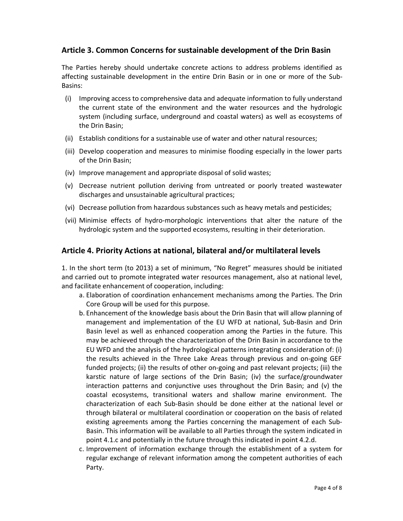#### **Article 3. Common Concerns for sustainable development of the Drin Basin**

The Parties hereby should undertake concrete actions to address problems identified as affecting sustainable development in the entire Drin Basin or in one or more of the Sub-Basins:

- (i) Improving access to comprehensive data and adequate information to fully understand the current state of the environment and the water resources and the hydrologic system (including surface, underground and coastal waters) as well as ecosystems of the Drin Basin;
- (ii) Establish conditions for a sustainable use of water and other natural resources;
- (iii) Develop cooperation and measures to minimise flooding especially in the lower parts of the Drin Basin;
- (iv) Improve management and appropriate disposal of solid wastes;
- (v) Decrease nutrient pollution deriving from untreated or poorly treated wastewater discharges and unsustainable agricultural practices;
- (vi) Decrease pollution from hazardous substances such as heavy metals and pesticides;
- (vii) Minimise effects of hydro-morphologic interventions that alter the nature of the hydrologic system and the supported ecosystems, resulting in their deterioration.

#### **Article 4. Priority Actions at national, bilateral and/or multilateral levels**

1. In the short term (to 2013) a set of minimum, "No Regret" measures should be initiated and carried out to promote integrated water resources management, also at national level, and facilitate enhancement of cooperation, including:

- a. Elaboration of coordination enhancement mechanisms among the Parties. The Drin Core Group will be used for this purpose.
- b. Enhancement of the knowledge basis about the Drin Basin that will allow planning of management and implementation of the EU WFD at national, Sub-Basin and Drin Basin level as well as enhanced cooperation among the Parties in the future. This may be achieved through the characterization of the Drin Basin in accordance to the EU WFD and the analysis of the hydrological patterns integrating consideration of: (i) the results achieved in the Three Lake Areas through previous and on-going GEF funded projects; (ii) the results of other on-going and past relevant projects; (iii) the karstic nature of large sections of the Drin Basin; (iv) the surface/groundwater interaction patterns and conjunctive uses throughout the Drin Basin; and (v) the coastal ecosystems, transitional waters and shallow marine environment. The characterization of each Sub-Basin should be done either at the national level or through bilateral or multilateral coordination or cooperation on the basis of related existing agreements among the Parties concerning the management of each Sub-Basin. This information will be available to all Parties through the system indicated in point 4.1.c and potentially in the future through this indicated in point 4.2.d.
- c. Improvement of information exchange through the establishment of a system for regular exchange of relevant information among the competent authorities of each Party.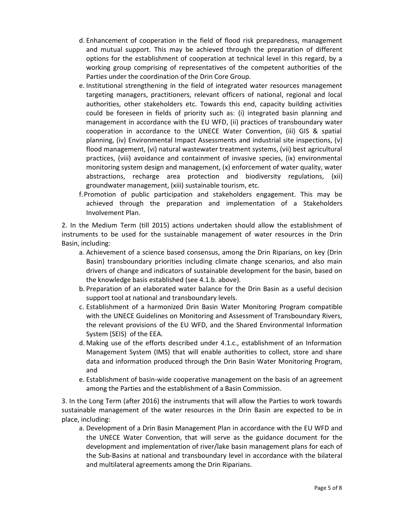- d. Enhancement of cooperation in the field of flood risk preparedness, management and mutual support. This may be achieved through the preparation of different options for the establishment of cooperation at technical level in this regard, by a working group comprising of representatives of the competent authorities of the Parties under the coordination of the Drin Core Group.
- e. Institutional strengthening in the field of integrated water resources management targeting managers, practitioners, relevant officers of national, regional and local authorities, other stakeholders etc. Towards this end, capacity building activities could be foreseen in fields of priority such as: (i) integrated basin planning and management in accordance with the EU WFD, (ii) practices of transboundary water cooperation in accordance to the UNECE Water Convention, (iii) GIS & spatial planning, (iv) Environmental Impact Assessments and industrial site inspections, (v) flood management, (vi) natural wastewater treatment systems, (vii) best agricultural practices, (viii) avoidance and containment of invasive species, (ix) environmental monitoring system design and management, (x) enforcement of water quality, water abstractions, recharge area protection and biodiversity regulations, (xii) groundwater management, (xiii) sustainable tourism, etc.
- f.Promotion of public participation and stakeholders engagement. This may be achieved through the preparation and implementation of a Stakeholders Involvement Plan.

2. In the Medium Term (till 2015) actions undertaken should allow the establishment of instruments to be used for the sustainable management of water resources in the Drin Basin, including:

- a. Achievement of a science based consensus, among the Drin Riparians, on key (Drin Basin) transboundary priorities including climate change scenarios, and also main drivers of change and indicators of sustainable development for the basin, based on the knowledge basis established (see 4.1.b. above).
- b. Preparation of an elaborated water balance for the Drin Basin as a useful decision support tool at national and transboundary levels.
- c. Establishment of a harmonized Drin Basin Water Monitoring Program compatible with the UNECE Guidelines on Monitoring and Assessment of Transboundary Rivers, the relevant provisions of the EU WFD, and the Shared Environmental Information System (SEIS) of the EEA.
- d. Making use of the efforts described under 4.1.c., establishment of an Information Management System (IMS) that will enable authorities to collect, store and share data and information produced through the Drin Basin Water Monitoring Program, and
- e. Establishment of basin-wide cooperative management on the basis of an agreement among the Parties and the establishment of a Basin Commission.

3. In the Long Term (after 2016) the instruments that will allow the Parties to work towards sustainable management of the water resources in the Drin Basin are expected to be in place, including:

a. Development of a Drin Basin Management Plan in accordance with the EU WFD and the UNECE Water Convention, that will serve as the guidance document for the development and implementation of river/lake basin management plans for each of the Sub-Basins at national and transboundary level in accordance with the bilateral and multilateral agreements among the Drin Riparians.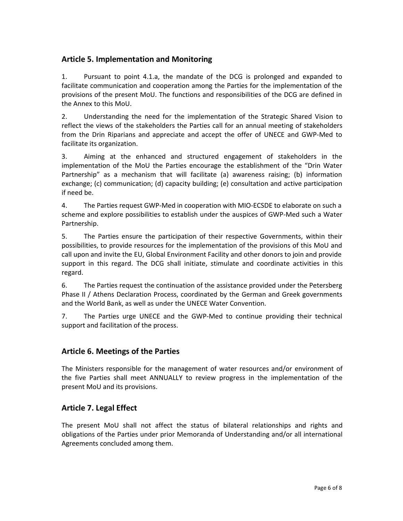### **Article 5. Implementation and Monitoring**

1. Pursuant to point 4.1.a, the mandate of the DCG is prolonged and expanded to facilitate communication and cooperation among the Parties for the implementation of the provisions of the present MoU. The functions and responsibilities of the DCG are defined in the Annex to this MoU.

2. Understanding the need for the implementation of the Strategic Shared Vision to reflect the views of the stakeholders the Parties call for an annual meeting of stakeholders from the Drin Riparians and appreciate and accept the offer of UNECE and GWP-Med to facilitate its organization.

3. Aiming at the enhanced and structured engagement of stakeholders in the implementation of the MoU the Parties encourage the establishment of the "Drin Water Partnership" as a mechanism that will facilitate (a) awareness raising; (b) information exchange; (c) communication; (d) capacity building; (e) consultation and active participation if need be.

4. The Parties request GWP-Med in cooperation with MIO-ECSDE to elaborate on such a scheme and explore possibilities to establish under the auspices of GWP-Med such a Water Partnership.

5. The Parties ensure the participation of their respective Governments, within their possibilities, to provide resources for the implementation of the provisions of this MoU and call upon and invite the EU, Global Environment Facility and other donors to join and provide support in this regard. The DCG shall initiate, stimulate and coordinate activities in this regard.

6. The Parties request the continuation of the assistance provided under the Petersberg Phase II / Athens Declaration Process, coordinated by the German and Greek governments and the World Bank, as well as under the UNECE Water Convention.

7. The Parties urge UNECE and the GWP-Med to continue providing their technical support and facilitation of the process.

#### **Article 6. Meetings of the Parties**

The Ministers responsible for the management of water resources and/or environment of the five Parties shall meet ANNUALLY to review progress in the implementation of the present MoU and its provisions.

### **Article 7. Legal Effect**

The present MoU shall not affect the status of bilateral relationships and rights and obligations of the Parties under prior Memoranda of Understanding and/or all international Agreements concluded among them.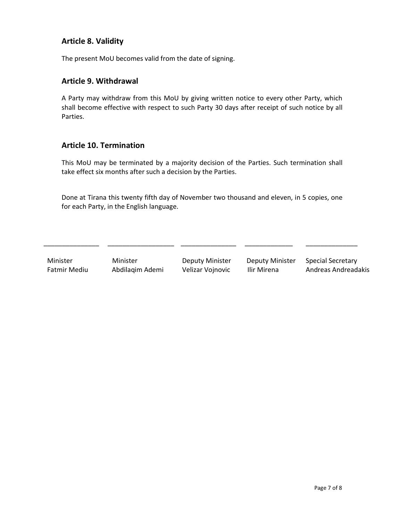### **Article 8. Validity**

The present MoU becomes valid from the date of signing.

#### **Article 9. Withdrawal**

A Party may withdraw from this MoU by giving written notice to every other Party, which shall become effective with respect to such Party 30 days after receipt of such notice by all Parties.

#### **Article 10. Termination**

This MoU may be terminated by a majority decision of the Parties. Such termination shall take effect six months after such a decision by the Parties.

Done at Tirana this twenty fifth day of November two thousand and eleven, in 5 copies, one for each Party, in the English language.

\_\_\_\_\_\_\_\_\_\_\_\_\_\_\_ \_\_\_\_\_\_\_\_\_\_\_\_\_\_\_\_\_\_ \_\_\_\_\_\_\_\_\_\_\_\_\_\_\_ \_\_\_\_\_\_\_\_\_\_\_\_\_ \_\_\_\_\_\_\_\_\_\_\_\_\_\_

| Minister     | Minister        | Deputy Minister  | <b>Deputy Minister</b> | <b>Special Secretary</b> |
|--------------|-----------------|------------------|------------------------|--------------------------|
| Fatmir Mediu | Abdilagim Ademi | Velizar Vojnovic | Ilir Mirena            | Andreas Andreadakis      |